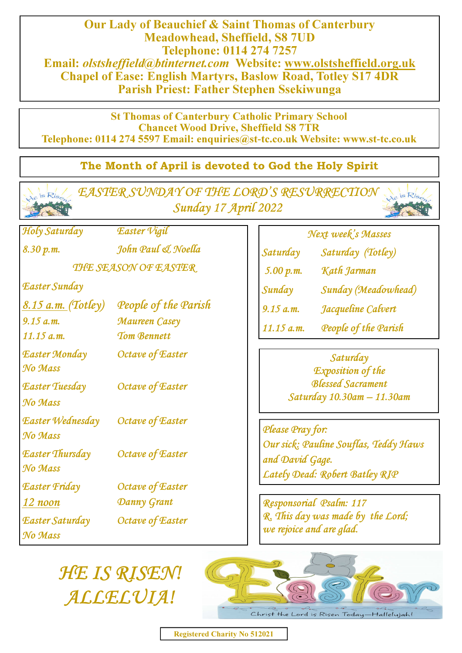Our Lady of Beauchief & Saint Thomas of Canterbury Meadowhead, Sheffield, S8 7UD Telephone: 0114 274 7257 Email: olstsheffield@btinternet.com Website: www.olstsheffield.org.uk Chapel of Ease: English Martyrs, Baslow Road, Totley S17 4DR Parish Priest: Father Stephen Ssekiwunga

St Thomas of Canterbury Catholic Primary School Chancet Wood Drive, Sheffield S8 7TR Telephone: 0114 274 5597 Email: enquiries@st**-**tc.co.uk Website: www.st**-**tc.co.uk

## The Month of April is devoted to God the Holy Spirit

| Ris Rise EASTER SUNDAY OF THE LORD'S RESURRECTION<br>Le is Ris<br>Sunday 17 April 2022 |                                     |                                                                                                                                                                          |
|----------------------------------------------------------------------------------------|-------------------------------------|--------------------------------------------------------------------------------------------------------------------------------------------------------------------------|
| Holy Saturday                                                                          | Easter Vigil                        | Next week's Masses                                                                                                                                                       |
| 8.30 p.m.                                                                              | John Paul & Noella                  | Saturday<br>Saturday (Totley)                                                                                                                                            |
| THE SEASON OF EASTER                                                                   |                                     | Kath Jarman<br>5.00 p.m.                                                                                                                                                 |
| Easter Sunday                                                                          |                                     | Sunday (Meadowhead)<br>Sunday                                                                                                                                            |
| <u>8.15 a.m.</u> (Totley)                                                              | People of the Parish                | Jacqueline Calvert<br>9.15 a.m.<br>People of the Parish<br>$11.15$ a.m.                                                                                                  |
| 9.15 a.m.<br>$11.15$ a.m.                                                              | Maureen Casey<br><b>Tom Bennett</b> |                                                                                                                                                                          |
| Easter Monday<br>No Mass                                                               | Octave of Easter                    | Saturday<br><b>Exposition of the</b>                                                                                                                                     |
| Easter Tuesday<br>No Mass                                                              | Octave of Easter                    | <b>Blessed Sacrament</b><br>Saturday 10.30am - 11.30am<br>Please Pray for:<br>Our sick: Pauline Souflas, Teddy Haws<br>and David Gage.<br>Lately Dead: Robert Batley RIP |
| Easter Wednesday<br>No Mass                                                            | Octave of Easter                    |                                                                                                                                                                          |
| Easter Thursday<br>No Mass                                                             | Octave of Easter                    |                                                                                                                                                                          |
| Easter Friday                                                                          | Octave of Easter                    |                                                                                                                                                                          |
| $12$ noon                                                                              | Danny Grant                         | Responsorial Psalm: 117<br>R. This day was made by the Lord;<br>we rejoice and are glad.                                                                                 |
| Easter Saturday<br>No Mass                                                             | Octave of Easter                    |                                                                                                                                                                          |

HE IS RISEN! ALLELUIA!



Registered Charity No 512021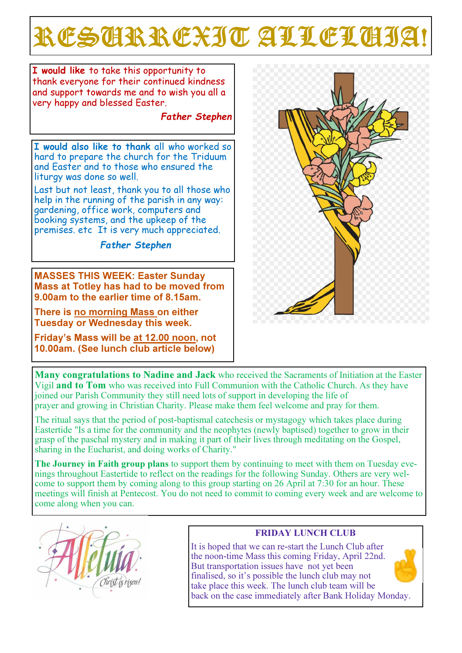# RESCRREXIT ALLELCIJA

I would like to take this opportunity to thank everyone for their continued kindness and support towards me and to wish you all a very happy and blessed Easter.

Father Stephen

I would also like to thank all who worked so hard to prepare the church for the Triduum and Easter and to those who ensured the liturgy was done so well.

Last but not least, thank you to all those who help in the running of the parish in any way: gardening, office work, computers and booking systems, and the upkeep of the premises. etc It is very much appreciated. j

Father Stephen

MASSES THIS WEEK: Easter Sunday Mass at Totley has had to be moved from 9.00am to the earlier time of 8.15am.

There is no morning Mass on either Tuesday or Wednesday this week.

Friday's Mass will be at 12.00 noon, not 10.00am. (See lunch club article below)



Many congratulations to Nadine and Jack who received the Sacraments of Initiation at the Easter Vigil and to Tom who was received into Full Communion with the Catholic Church. As they have joined our Parish Community they still need lots of support in developing the life of prayer and growing in Christian Charity. Please make them feel welcome and pray for them.

The ritual says that the period of post-baptismal catechesis or mystagogy which takes place during Eastertide "Is a time for the community and the neophytes (newly baptised) together to grow in their grasp of the paschal mystery and in making it part of their lives through meditating on the Gospel, sharing in the Eucharist, and doing works of Charity."

The Journey in Faith group plans to support them by continuing to meet with them on Tuesday evenings throughout Eastertide to reflect on the readings for the following Sunday. Others are very welcome to support them by coming along to this group starting on 26 April at 7:30 for an hour. These meetings will finish at Pentecost. You do not need to commit to coming every week and are welcome to come along when you can.



## FRIDAY LUNCH CLUB

It is hoped that we can re-start the Lunch Club after the noon-time Mass this coming Friday, April 22nd. But transportation issues have not yet been finalised, so it's possible the lunch club may not take place this week. The lunch club team will be back on the case immediately after Bank Holiday Monday.

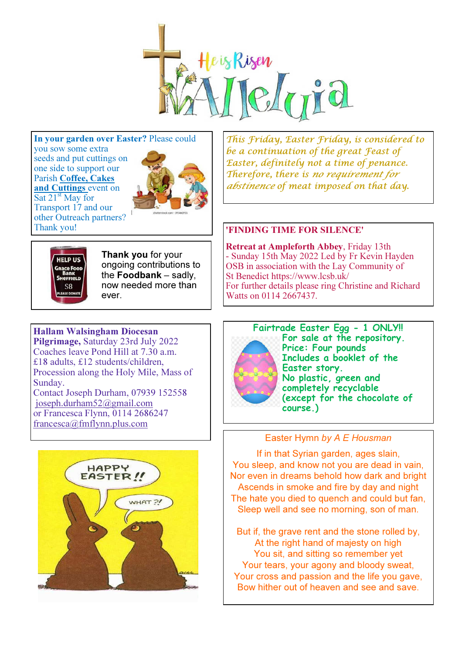

In your garden over Easter? Please could you sow some extra seeds and put cuttings on one side to support our Parish Coffee, Cakes and Cuttings event on

Sat 21<sup>st</sup> May for Transport 17 and our other Outreach partners? Thank you!



This Friday, Easter Friday, is considered to be a continuation of the great Feast of Easter, definitely not a time of penance. Therefore, there is no requirement for abstinence of meat imposed on that day.

#### 'FINDING TIME FOR SILENCE'

Retreat at Ampleforth Abbey, Friday 13th - Sunday 15th May 2022 Led by Fr Kevin Hayden OSB in association with the Lay Community of St Benedict https://www.lcsb.uk/ For further details please ring Christine and Richard Watts on 0114 2667437.



Thank you for your ongoing contributions to the Foodbank – sadly, now needed more than ever.

## Hallam Walsingham Diocesan

Pilgrimage, Saturday 23rd July 2022 Coaches leave Pond Hill at 7.30 a.m. £18 adults, £12 students/children, Procession along the Holy Mile, Mass of Sunday.

Contact Joseph Durham, 07939 152558 joseph.durham52@gmail.com or Francesca Flynn, 0114 2686247 francesca@fmflynn.plus.com





Fairtrade Easter Egg - 1 ONLY!! For sale at the repository. Price: Four pounds Includes a booklet of the Easter story. No plastic, green and completely recyclable (except for the chocolate of course.)

### Easter Hymn by A E Housman

If in that Syrian garden, ages slain, You sleep, and know not you are dead in vain, Nor even in dreams behold how dark and bright Ascends in smoke and fire by day and night The hate you died to quench and could but fan. Sleep well and see no morning, son of man.

But if, the grave rent and the stone rolled by, At the right hand of majesty on high You sit, and sitting so remember yet Your tears, your agony and bloody sweat, Your cross and passion and the life you gave, Bow hither out of heaven and see and save.